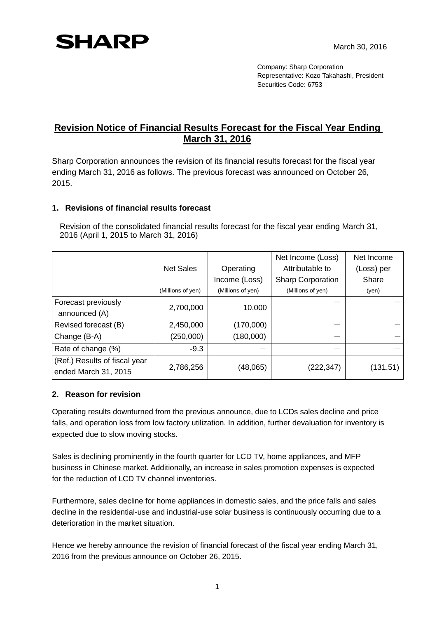## **SHARP**

Company: Sharp Corporation Representative: Kozo Takahashi, President Securities Code: 6753

## **Revision Notice of Financial Results Forecast for the Fiscal Year Ending March 31, 2016**

Sharp Corporation announces the revision of its financial results forecast for the fiscal year ending March 31, 2016 as follows. The previous forecast was announced on October 26, 2015.

## **1. Revisions of financial results forecast**

Revision of the consolidated financial results forecast for the fiscal year ending March 31, 2016 (April 1, 2015 to March 31, 2016)

|                                                       |                   |                   | Net Income (Loss)        | Net Income |
|-------------------------------------------------------|-------------------|-------------------|--------------------------|------------|
|                                                       | <b>Net Sales</b>  | Operating         | Attributable to          | (Loss) per |
|                                                       |                   | Income (Loss)     | <b>Sharp Corporation</b> | Share      |
|                                                       | (Millions of yen) | (Millions of yen) | (Millions of yen)        | (yen)      |
| Forecast previously                                   | 2,700,000         | 10,000            |                          |            |
| announced (A)                                         |                   |                   |                          |            |
| Revised forecast (B)                                  | 2,450,000         | (170,000)         |                          |            |
| Change (B-A)                                          | (250,000)         | (180,000)         |                          |            |
| Rate of change (%)                                    | $-9.3$            |                   |                          |            |
| (Ref.) Results of fiscal year<br>ended March 31, 2015 | 2,786,256         | (48,065)          | (222,347)                | (131.51)   |

## **2. Reason for revision**

Operating results downturned from the previous announce, due to LCDs sales decline and price falls, and operation loss from low factory utilization. In addition, further devaluation for inventory is expected due to slow moving stocks.

Sales is declining prominently in the fourth quarter for LCD TV, home appliances, and MFP business in Chinese market. Additionally, an increase in sales promotion expenses is expected for the reduction of LCD TV channel inventories.

Furthermore, sales decline for home appliances in domestic sales, and the price falls and sales decline in the residential-use and industrial-use solar business is continuously occurring due to a deterioration in the market situation.

Hence we hereby announce the revision of financial forecast of the fiscal year ending March 31, 2016 from the previous announce on October 26, 2015.